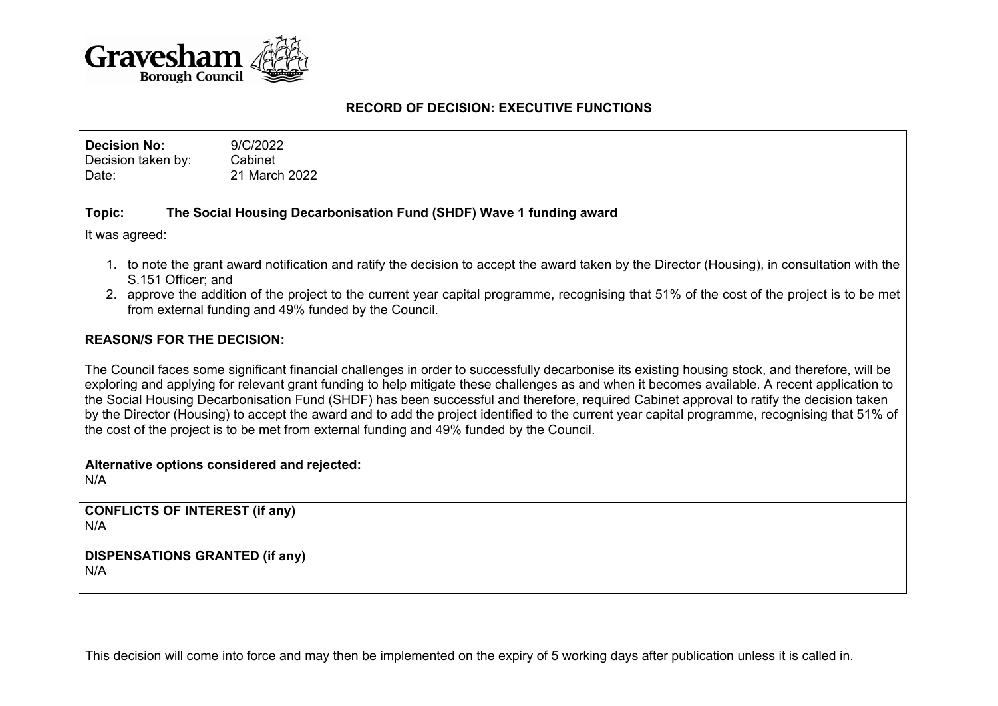

#### **RECORD OF DECISION: EXECUTIVE FUNCTIONS**

**Decision No:** 9/C/2022 Decision taken by: Cabinet Date: 21 March 2022

# **Topic: The Social Housing Decarbonisation Fund (SHDF) Wave 1 funding award**

It was agreed:

- 1. to note the grant award notification and ratify the decision to accept the award taken by the Director (Housing), in consultation with the S.151 Officer; and
- 2. approve the addition of the project to the current year capital programme, recognising that 51% of the cost of the project is to be met from external funding and 49% funded by the Council.

# **REASON/S FOR THE DECISION:**

The Council faces some significant financial challenges in order to successfully decarbonise its existing housing stock, and therefore, will be exploring and applying for relevant grant funding to help mitigate these challenges as and when it becomes available. A recent application to the Social Housing Decarbonisation Fund (SHDF) has been successful and therefore, required Cabinet approval to ratify the decision taken by the Director (Housing) to accept the award and to add the project identified to the current year capital programme, recognising that 51% of the cost of the project is to be met from external funding and 49% funded by the Council.

**Alternative options considered and rejected:** N/A

**CONFLICTS OF INTEREST (if any)** N/A

**DISPENSATIONS GRANTED (if any)** N/A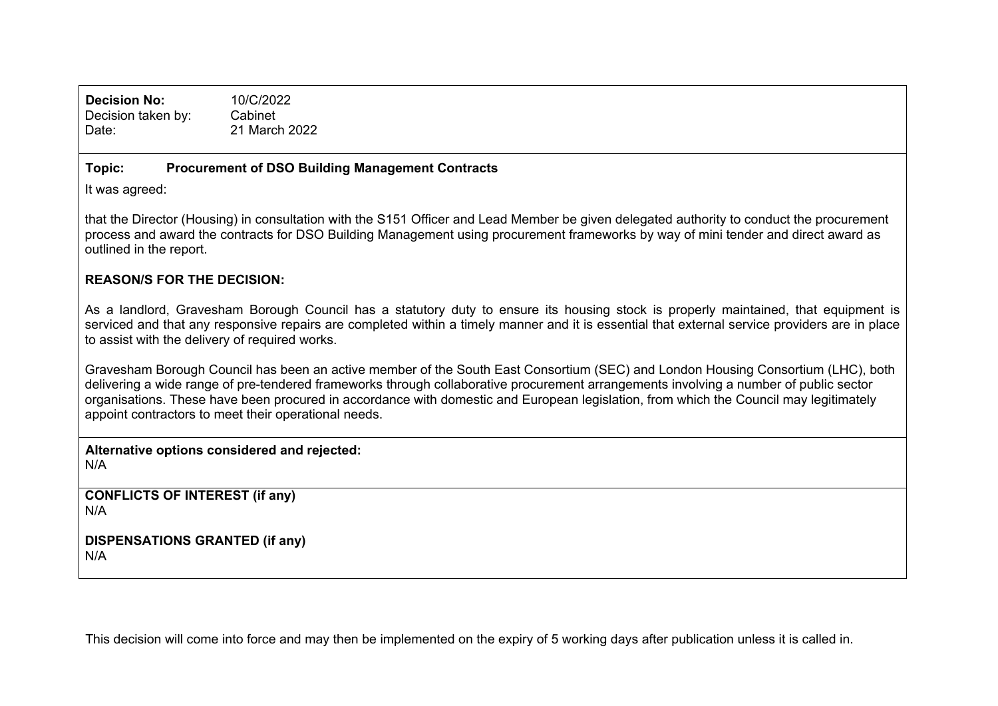**Decision No:** 10/C/2022 Decision taken by: Cabinet Date: 21 March 2022

#### **Topic: Procurement of DSO Building Management Contracts**

It was agreed:

that the Director (Housing) in consultation with the S151 Officer and Lead Member be given delegated authority to conduct the procurement process and award the contracts for DSO Building Management using procurement frameworks by way of mini tender and direct award as outlined in the report.

# **REASON/S FOR THE DECISION:**

As a landlord, Gravesham Borough Council has a statutory duty to ensure its housing stock is properly maintained, that equipment is serviced and that any responsive repairs are completed within a timely manner and it is essential that external service providers are in place to assist with the delivery of required works.

Gravesham Borough Council has been an active member of the South East Consortium (SEC) and London Housing Consortium (LHC), both delivering a wide range of pre-tendered frameworks through collaborative procurement arrangements involving a number of public sector organisations. These have been procured in accordance with domestic and European legislation, from which the Council may legitimately appoint contractors to meet their operational needs.

**Alternative options considered and rejected:** N/A

**CONFLICTS OF INTEREST (if any)** N/A

**DISPENSATIONS GRANTED (if any)** N/A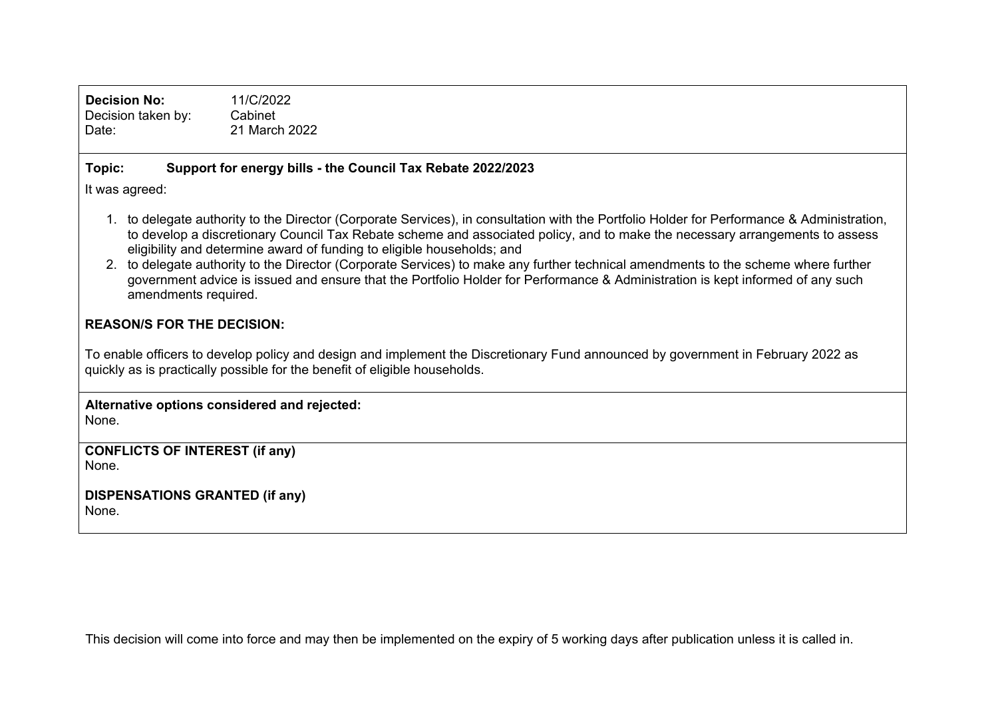| <b>Decision No:</b><br>Decision taken by:<br>Date:                                                                                                                                                                                                                                                                                                                                                                                                                                                                                                                                                                                                   | 11/C/2022<br>Cabinet<br>21 March 2022                       |
|------------------------------------------------------------------------------------------------------------------------------------------------------------------------------------------------------------------------------------------------------------------------------------------------------------------------------------------------------------------------------------------------------------------------------------------------------------------------------------------------------------------------------------------------------------------------------------------------------------------------------------------------------|-------------------------------------------------------------|
| Topic:                                                                                                                                                                                                                                                                                                                                                                                                                                                                                                                                                                                                                                               | Support for energy bills - the Council Tax Rebate 2022/2023 |
| It was agreed:                                                                                                                                                                                                                                                                                                                                                                                                                                                                                                                                                                                                                                       |                                                             |
| to delegate authority to the Director (Corporate Services), in consultation with the Portfolio Holder for Performance & Administration,<br>to develop a discretionary Council Tax Rebate scheme and associated policy, and to make the necessary arrangements to assess<br>eligibility and determine award of funding to eligible households; and<br>to delegate authority to the Director (Corporate Services) to make any further technical amendments to the scheme where further<br>2.<br>government advice is issued and ensure that the Portfolio Holder for Performance & Administration is kept informed of any such<br>amendments required. |                                                             |
| <b>REASON/S FOR THE DECISION:</b>                                                                                                                                                                                                                                                                                                                                                                                                                                                                                                                                                                                                                    |                                                             |
| To enable officers to develop policy and design and implement the Discretionary Fund announced by government in February 2022 as<br>quickly as is practically possible for the benefit of eligible households.                                                                                                                                                                                                                                                                                                                                                                                                                                       |                                                             |
| Alternative options considered and rejected:<br>None.                                                                                                                                                                                                                                                                                                                                                                                                                                                                                                                                                                                                |                                                             |
| <b>CONFLICTS OF INTEREST (if any)</b><br>None.                                                                                                                                                                                                                                                                                                                                                                                                                                                                                                                                                                                                       |                                                             |
| <b>DISPENSATIONS GRANTED (if any)</b><br>None.                                                                                                                                                                                                                                                                                                                                                                                                                                                                                                                                                                                                       |                                                             |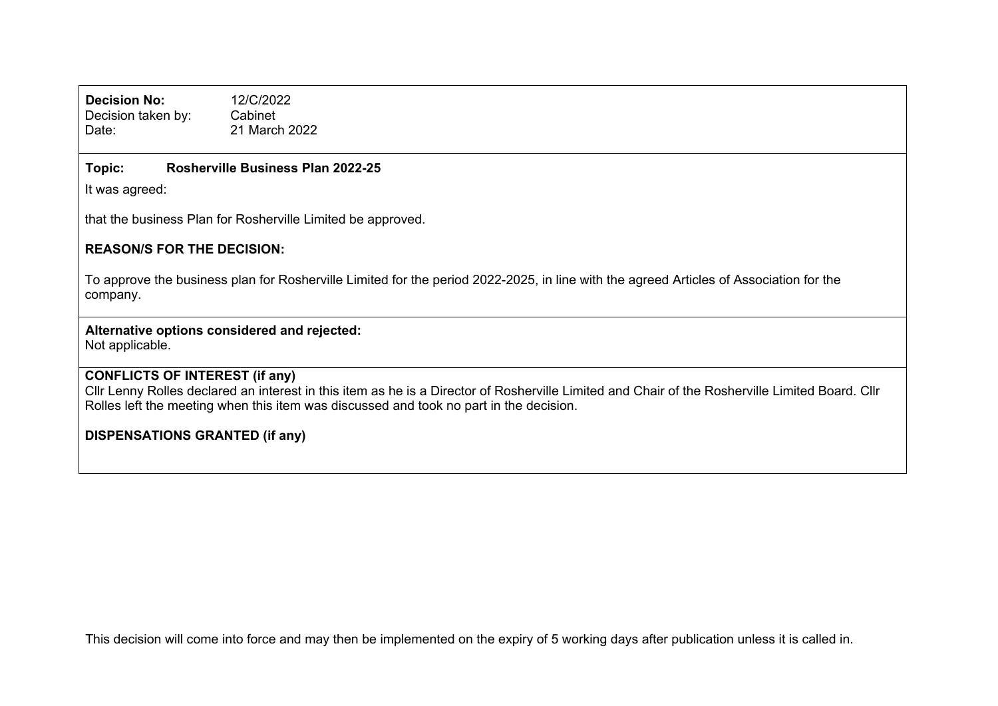**Decision No:** 12/C/2022 Decision taken by: Cabinet Date: 21 March 2022

# **Topic: Rosherville Business Plan 2022-25**

It was agreed:

that the business Plan for Rosherville Limited be approved.

# **REASON/S FOR THE DECISION:**

To approve the business plan for Rosherville Limited for the period 2022-2025, in line with the agreed Articles of Association for the company.

# **Alternative options considered and rejected:**

Not applicable.

# **CONFLICTS OF INTEREST (if any)**

Cllr Lenny Rolles declared an interest in this item as he is a Director of Rosherville Limited and Chair of the Rosherville Limited Board. Cllr Rolles left the meeting when this item was discussed and took no part in the decision.

# **DISPENSATIONS GRANTED (if any)**